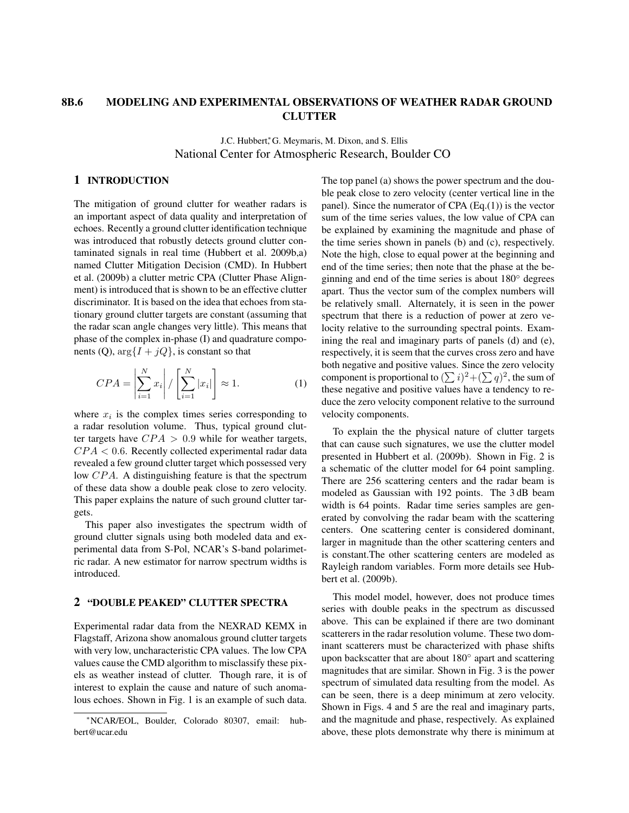## 8B.6 MODELING AND EXPERIMENTAL OBSERVATIONS OF WEATHER RADAR GROUND **CLUTTER**

J.C. Hubbert, G. Meymaris, M. Dixon, and S. Ellis National Center for Atmospheric Research, Boulder CO

### 1 INTRODUCTION

The mitigation of ground clutter for weather radars is an important aspect of data quality and interpretation of echoes. Recently a ground clutter identification technique was introduced that robustly detects ground clutter contaminated signals in real time (Hubbert et al. 2009b,a) named Clutter Mitigation Decision (CMD). In Hubbert et al. (2009b) a clutter metric CPA (Clutter Phase Alignment) is introduced that is shown to be an effective clutter discriminator. It is based on the idea that echoes from stationary ground clutter targets are constant (assuming that the radar scan angle changes very little). This means that phase of the complex in-phase (I) and quadrature components (Q),  $\arg\{I + jQ\}$ , is constant so that

$$
CPA = \left| \sum_{i=1}^{N} x_i \right| / \left[ \sum_{i=1}^{N} |x_i| \right] \approx 1.
$$
 (1)

where  $x_i$  is the complex times series corresponding to a radar resolution volume. Thus, typical ground clutter targets have  $CPA > 0.9$  while for weather targets,  $CPA < 0.6$ . Recently collected experimental radar data revealed a few ground clutter target which possessed very low CPA. A distinguishing feature is that the spectrum of these data show a double peak close to zero velocity. This paper explains the nature of such ground clutter targets.

This paper also investigates the spectrum width of ground clutter signals using both modeled data and experimental data from S-Pol, NCAR's S-band polarimetric radar. A new estimator for narrow spectrum widths is introduced.

#### 2 "DOUBLE PEAKED" CLUTTER SPECTRA

Experimental radar data from the NEXRAD KEMX in Flagstaff, Arizona show anomalous ground clutter targets with very low, uncharacteristic CPA values. The low CPA values cause the CMD algorithm to misclassify these pixels as weather instead of clutter. Though rare, it is of interest to explain the cause and nature of such anomalous echoes. Shown in Fig. 1 is an example of such data.

The top panel (a) shows the power spectrum and the double peak close to zero velocity (center vertical line in the panel). Since the numerator of CPA  $(Eq.(1))$  is the vector sum of the time series values, the low value of CPA can be explained by examining the magnitude and phase of the time series shown in panels (b) and (c), respectively. Note the high, close to equal power at the beginning and end of the time series; then note that the phase at the beginning and end of the time series is about 180◦ degrees apart. Thus the vector sum of the complex numbers will be relatively small. Alternately, it is seen in the power spectrum that there is a reduction of power at zero velocity relative to the surrounding spectral points. Examining the real and imaginary parts of panels (d) and (e), respectively, it is seem that the curves cross zero and have both negative and positive values. Since the zero velocity component is proportional to  $(\sum i)^2 + (\sum q)^2$ , the sum of these negative and positive values have a tendency to reduce the zero velocity component relative to the surround velocity components.

To explain the the physical nature of clutter targets that can cause such signatures, we use the clutter model presented in Hubbert et al. (2009b). Shown in Fig. 2 is a schematic of the clutter model for 64 point sampling. There are 256 scattering centers and the radar beam is modeled as Gaussian with 192 points. The 3 dB beam width is 64 points. Radar time series samples are generated by convolving the radar beam with the scattering centers. One scattering center is considered dominant, larger in magnitude than the other scattering centers and is constant.The other scattering centers are modeled as Rayleigh random variables. Form more details see Hubbert et al. (2009b).

This model model, however, does not produce times series with double peaks in the spectrum as discussed above. This can be explained if there are two dominant scatterers in the radar resolution volume. These two dominant scatterers must be characterized with phase shifts upon backscatter that are about 180<sup>°</sup> apart and scattering magnitudes that are similar. Shown in Fig. 3 is the power spectrum of simulated data resulting from the model. As can be seen, there is a deep minimum at zero velocity. Shown in Figs. 4 and 5 are the real and imaginary parts, and the magnitude and phase, respectively. As explained above, these plots demonstrate why there is minimum at

<sup>∗</sup>NCAR/EOL, Boulder, Colorado 80307, email: hubbert@ucar.edu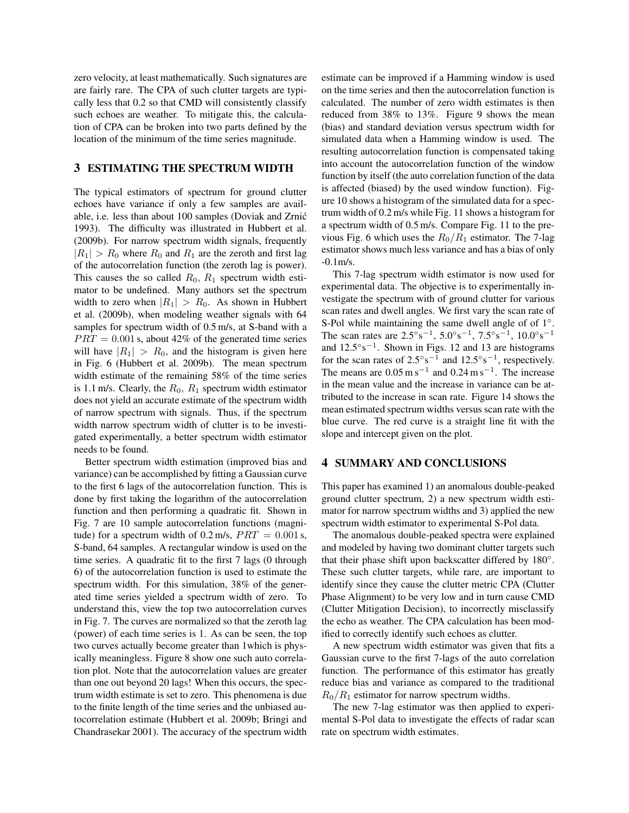zero velocity, at least mathematically. Such signatures are are fairly rare. The CPA of such clutter targets are typically less that 0.2 so that CMD will consistently classify such echoes are weather. To mitigate this, the calculation of CPA can be broken into two parts defined by the location of the minimum of the time series magnitude.

### 3 ESTIMATING THE SPECTRUM WIDTH

The typical estimators of spectrum for ground clutter echoes have variance if only a few samples are available, i.e. less than about 100 samples (Doviak and Zrnic´ 1993). The difficulty was illustrated in Hubbert et al. (2009b). For narrow spectrum width signals, frequently  $|R_1| > R_0$  where  $R_0$  and  $R_1$  are the zeroth and first lag of the autocorrelation function (the zeroth lag is power). This causes the so called  $R_0$ ,  $R_1$  spectrum width estimator to be undefined. Many authors set the spectrum width to zero when  $|R_1| > R_0$ . As shown in Hubbert et al. (2009b), when modeling weather signals with 64 samples for spectrum width of 0.5 m/s, at S-band with a  $PRT = 0.001$  s, about 42% of the generated time series will have  $|R_1| > R_0$ , and the histogram is given here in Fig. 6 (Hubbert et al. 2009b). The mean spectrum width estimate of the remaining 58% of the time series is 1.1 m/s. Clearly, the  $R_0$ ,  $R_1$  spectrum width estimator does not yield an accurate estimate of the spectrum width of narrow spectrum with signals. Thus, if the spectrum width narrow spectrum width of clutter is to be investigated experimentally, a better spectrum width estimator needs to be found.

Better spectrum width estimation (improved bias and variance) can be accomplished by fitting a Gaussian curve to the first 6 lags of the autocorrelation function. This is done by first taking the logarithm of the autocorrelation function and then performing a quadratic fit. Shown in Fig. 7 are 10 sample autocorrelation functions (magnitude) for a spectrum width of 0.2 m/s,  $PRT = 0.001$  s, S-band, 64 samples. A rectangular window is used on the time series. A quadratic fit to the first 7 lags (0 through 6) of the autocorrelation function is used to estimate the spectrum width. For this simulation, 38% of the generated time series yielded a spectrum width of zero. To understand this, view the top two autocorrelation curves in Fig. 7. The curves are normalized so that the zeroth lag (power) of each time series is 1. As can be seen, the top two curves actually become greater than 1which is physically meaningless. Figure 8 show one such auto correlation plot. Note that the autocorrelation values are greater than one out beyond 20 lags! When this occurs, the spectrum width estimate is set to zero. This phenomena is due to the finite length of the time series and the unbiased autocorrelation estimate (Hubbert et al. 2009b; Bringi and Chandrasekar 2001). The accuracy of the spectrum width

estimate can be improved if a Hamming window is used on the time series and then the autocorrelation function is calculated. The number of zero width estimates is then reduced from 38% to 13%. Figure 9 shows the mean (bias) and standard deviation versus spectrum width for simulated data when a Hamming window is used. The resulting autocorrelation function is compensated taking into account the autocorrelation function of the window function by itself (the auto correlation function of the data is affected (biased) by the used window function). Figure 10 shows a histogram of the simulated data for a spectrum width of 0.2 m/s while Fig. 11 shows a histogram for a spectrum width of 0.5 m/s. Compare Fig. 11 to the previous Fig. 6 which uses the  $R_0/R_1$  estimator. The 7-lag estimator shows much less variance and has a bias of only  $-0.1$  m/s.

This 7-lag spectrum width estimator is now used for experimental data. The objective is to experimentally investigate the spectrum with of ground clutter for various scan rates and dwell angles. We first vary the scan rate of S-Pol while maintaining the same dwell angle of of 1°. The scan rates are  $2.5°s^{-1}$ ,  $5.0°s^{-1}$ ,  $7.5°s^{-1}$ ,  $10.0°s^{-1}$ and  $12.5° s<sup>-1</sup>$ . Shown in Figs. 12 and 13 are histograms for the scan rates of  $2.5^{\circ} s^{-1}$  and  $12.5^{\circ} s^{-1}$ , respectively. The means are  $0.05 \text{ m s}^{-1}$  and  $0.24 \text{ m s}^{-1}$ . The increase in the mean value and the increase in variance can be attributed to the increase in scan rate. Figure 14 shows the mean estimated spectrum widths versus scan rate with the blue curve. The red curve is a straight line fit with the slope and intercept given on the plot.

#### 4 SUMMARY AND CONCLUSIONS

This paper has examined 1) an anomalous double-peaked ground clutter spectrum, 2) a new spectrum width estimator for narrow spectrum widths and 3) applied the new spectrum width estimator to experimental S-Pol data.

The anomalous double-peaked spectra were explained and modeled by having two dominant clutter targets such that their phase shift upon backscatter differed by 180°. These such clutter targets, while rare, are important to identify since they cause the clutter metric CPA (Clutter Phase Alignment) to be very low and in turn cause CMD (Clutter Mitigation Decision), to incorrectly misclassify the echo as weather. The CPA calculation has been modified to correctly identify such echoes as clutter.

A new spectrum width estimator was given that fits a Gaussian curve to the first 7-lags of the auto correlation function. The performance of this estimator has greatly reduce bias and variance as compared to the traditional  $R_0/R_1$  estimator for narrow spectrum widths.

The new 7-lag estimator was then applied to experimental S-Pol data to investigate the effects of radar scan rate on spectrum width estimates.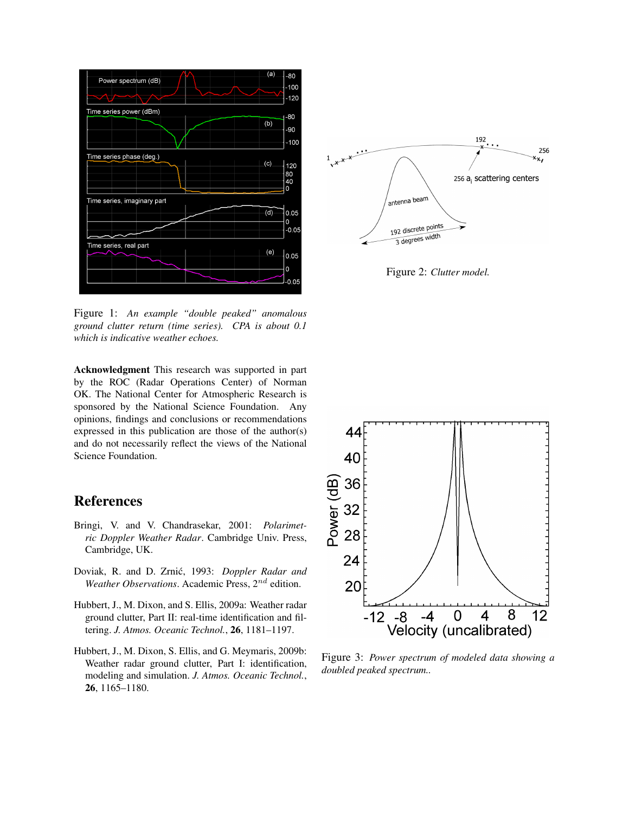

Figure 1: *An example "double peaked" anomalous ground clutter return (time series). CPA is about 0.1 which is indicative weather echoes.*

Acknowledgment This research was supported in part by the ROC (Radar Operations Center) of Norman OK. The National Center for Atmospheric Research is sponsored by the National Science Foundation. Any opinions, findings and conclusions or recommendations expressed in this publication are those of the author(s) and do not necessarily reflect the views of the National Science Foundation.

# References

- Bringi, V. and V. Chandrasekar, 2001: *Polarimetric Doppler Weather Radar*. Cambridge Univ. Press, Cambridge, UK.
- Doviak, R. and D. Zrnić, 1993: *Doppler Radar and Weather Observations.* Academic Press, 2<sup>nd</sup> edition.
- Hubbert, J., M. Dixon, and S. Ellis, 2009a: Weather radar ground clutter, Part II: real-time identification and filtering. *J. Atmos. Oceanic Technol.*, 26, 1181–1197.
- Hubbert, J., M. Dixon, S. Ellis, and G. Meymaris, 2009b: Weather radar ground clutter, Part I: identification, modeling and simulation. *J. Atmos. Oceanic Technol.*, 26, 1165–1180.



Figure 2: *Clutter model.*



Figure 3: *Power spectrum of modeled data showing a doubled peaked spectrum..*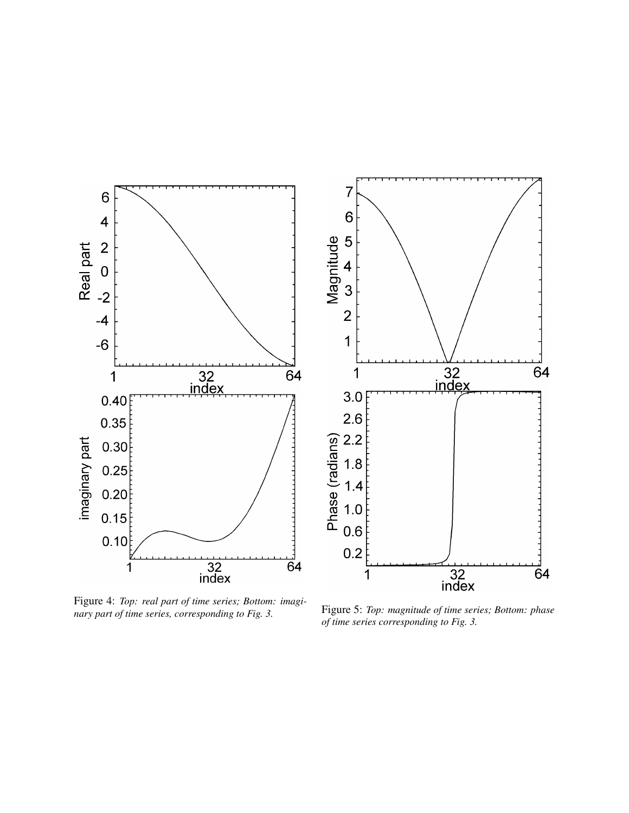

Figure 4: *Top: real part of time series; Bottom: imaginary part of time series, corresponding to Fig. 3.* Figure 5: *Top: magnitude of time series; Bottom: phase* nary part of time series, corresponding to Fig. 3.

*of time series corresponding to Fig. 3.*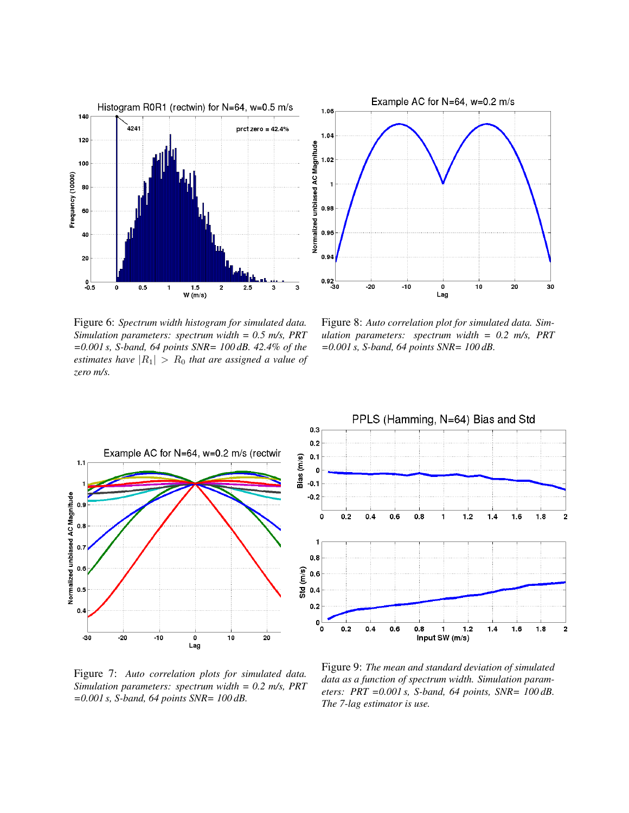



Figure 6: *Spectrum width histogram for simulated data. Simulation parameters: spectrum width = 0.5 m/s, PRT =0.001 s, S-band, 64 points SNR= 100 dB. 42.4% of the estimates have*  $|R_1| > R_0$  *that are assigned a value of zero m/s.*

Figure 8: *Auto correlation plot for simulated data. Simulation parameters: spectrum width = 0.2 m/s, PRT =0.001 s, S-band, 64 points SNR= 100 dB.*



Figure 7: *Auto correlation plots for simulated data. Simulation parameters: spectrum width = 0.2 m/s, PRT =0.001 s, S-band, 64 points SNR= 100 dB.*



Figure 9: *The mean and standard deviation of simulated data as a function of spectrum width. Simulation parameters: PRT =0.001 s, S-band, 64 points, SNR= 100 dB. The 7-lag estimator is use.*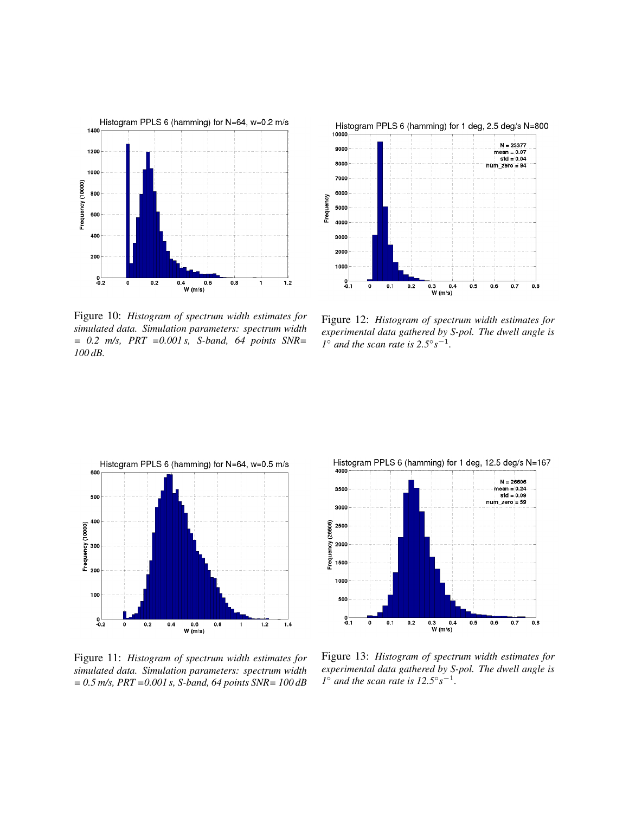

Figure 10: *Histogram of spectrum width estimates for simulated data. Simulation parameters: spectrum width = 0.2 m/s, PRT =0.001 s, S-band, 64 points SNR= 100 dB.*



Figure 12: *Histogram of spectrum width estimates for experimental data gathered by S-pol. The dwell angle is I*<sup> $\circ$ </sup> *and the scan rate is*  $2.5^{\circ} s^{-1}$ *.* 



Figure 11: *Histogram of spectrum width estimates for simulated data. Simulation parameters: spectrum width = 0.5 m/s, PRT =0.001 s, S-band, 64 points SNR= 100 dB*



Figure 13: *Histogram of spectrum width estimates for experimental data gathered by S-pol. The dwell angle is*  $1^\circ$  *and the scan rate is*  $12.5^\circ s^{-1}$ *.*